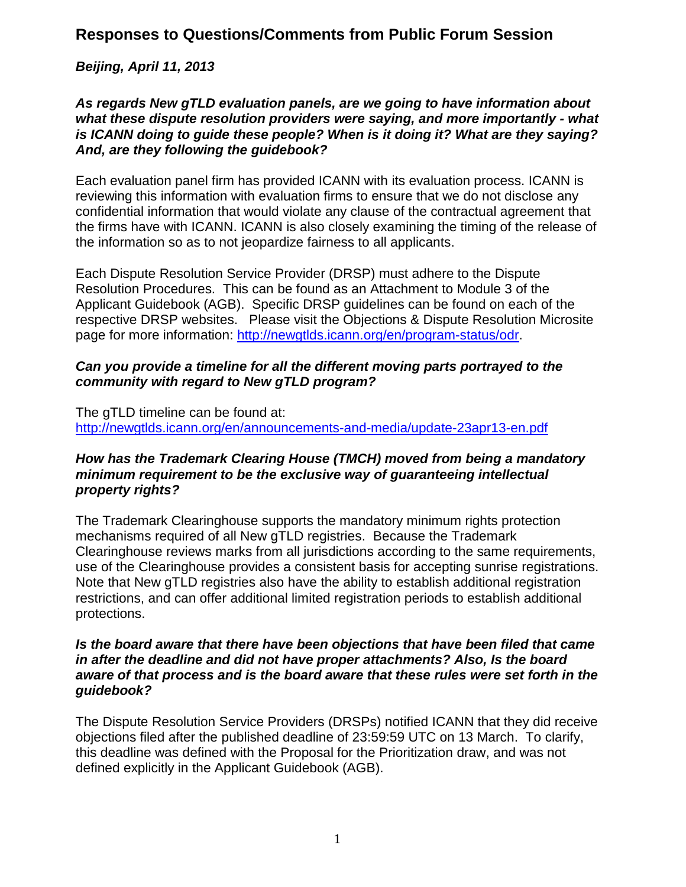## *Beijing, April 11, 2013*

#### *As regards New gTLD evaluation panels, are we going to have information about what these dispute resolution providers were saying, and more importantly - what is ICANN doing to guide these people? When is it doing it? What are they saying? And, are they following the guidebook?*

Each evaluation panel firm has provided ICANN with its evaluation process. ICANN is reviewing this information with evaluation firms to ensure that we do not disclose any confidential information that would violate any clause of the contractual agreement that the firms have with ICANN. ICANN is also closely examining the timing of the release of the information so as to not jeopardize fairness to all applicants.

Each Dispute Resolution Service Provider (DRSP) must adhere to the Dispute Resolution Procedures. This can be found as an Attachment to Module 3 of the Applicant Guidebook (AGB). Specific DRSP guidelines can be found on each of the respective DRSP websites. Please visit the Objections & Dispute Resolution Microsite page for more information: [http://newgtlds.icann.org/en/program-status/odr.](http://newgtlds.icann.org/en/program-status/odr)

### *Can you provide a timeline for all the different moving parts portrayed to the community with regard to New gTLD program?*

The gTLD timeline can be found at: <http://newgtlds.icann.org/en/announcements-and-media/update-23apr13-en.pdf>

#### *How has the Trademark Clearing House (TMCH) moved from being a mandatory minimum requirement to be the exclusive way of guaranteeing intellectual property rights?*

The Trademark Clearinghouse supports the mandatory minimum rights protection mechanisms required of all New gTLD registries. Because the Trademark Clearinghouse reviews marks from all jurisdictions according to the same requirements, use of the Clearinghouse provides a consistent basis for accepting sunrise registrations. Note that New gTLD registries also have the ability to establish additional registration restrictions, and can offer additional limited registration periods to establish additional protections.

#### *Is the board aware that there have been objections that have been filed that came in after the deadline and did not have proper attachments? Also, Is the board aware of that process and is the board aware that these rules were set forth in the guidebook?*

The Dispute Resolution Service Providers (DRSPs) notified ICANN that they did receive objections filed after the published deadline of 23:59:59 UTC on 13 March. To clarify, this deadline was defined with the Proposal for the Prioritization draw, and was not defined explicitly in the Applicant Guidebook (AGB).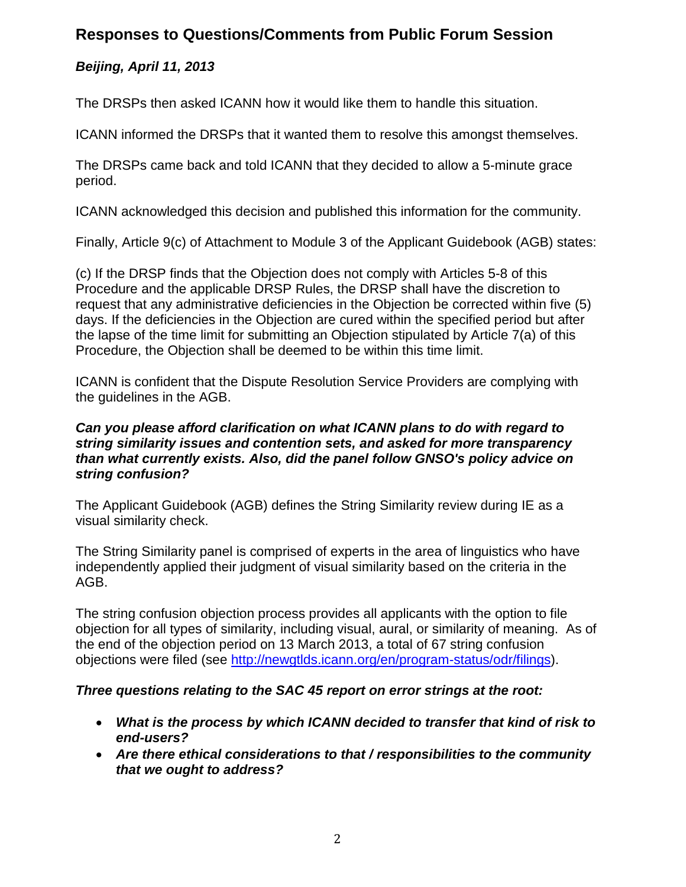## *Beijing, April 11, 2013*

The DRSPs then asked ICANN how it would like them to handle this situation.

ICANN informed the DRSPs that it wanted them to resolve this amongst themselves.

The DRSPs came back and told ICANN that they decided to allow a 5-minute grace period.

ICANN acknowledged this decision and published this information for the community.

Finally, Article 9(c) of Attachment to Module 3 of the Applicant Guidebook (AGB) states:

(c) If the DRSP finds that the Objection does not comply with Articles 5-8 of this Procedure and the applicable DRSP Rules, the DRSP shall have the discretion to request that any administrative deficiencies in the Objection be corrected within five (5) days. If the deficiencies in the Objection are cured within the specified period but after the lapse of the time limit for submitting an Objection stipulated by Article 7(a) of this Procedure, the Objection shall be deemed to be within this time limit.

ICANN is confident that the Dispute Resolution Service Providers are complying with the guidelines in the AGB.

#### *Can you please afford clarification on what ICANN plans to do with regard to string similarity issues and contention sets, and asked for more transparency than what currently exists. Also, did the panel follow GNSO's policy advice on string confusion?*

The Applicant Guidebook (AGB) defines the String Similarity review during IE as a visual similarity check.

The String Similarity panel is comprised of experts in the area of linguistics who have independently applied their judgment of visual similarity based on the criteria in the AGB.

The string confusion objection process provides all applicants with the option to file objection for all types of similarity, including visual, aural, or similarity of meaning. As of the end of the objection period on 13 March 2013, a total of 67 string confusion objections were filed (see [http://newgtlds.icann.org/en/program-status/odr/filings\)](http://newgtlds.icann.org/en/program-status/odr/filings).

#### *Three questions relating to the SAC 45 report on error strings at the root:*

- *What is the process by which ICANN decided to transfer that kind of risk to end-users?*
- *Are there ethical considerations to that / responsibilities to the community that we ought to address?*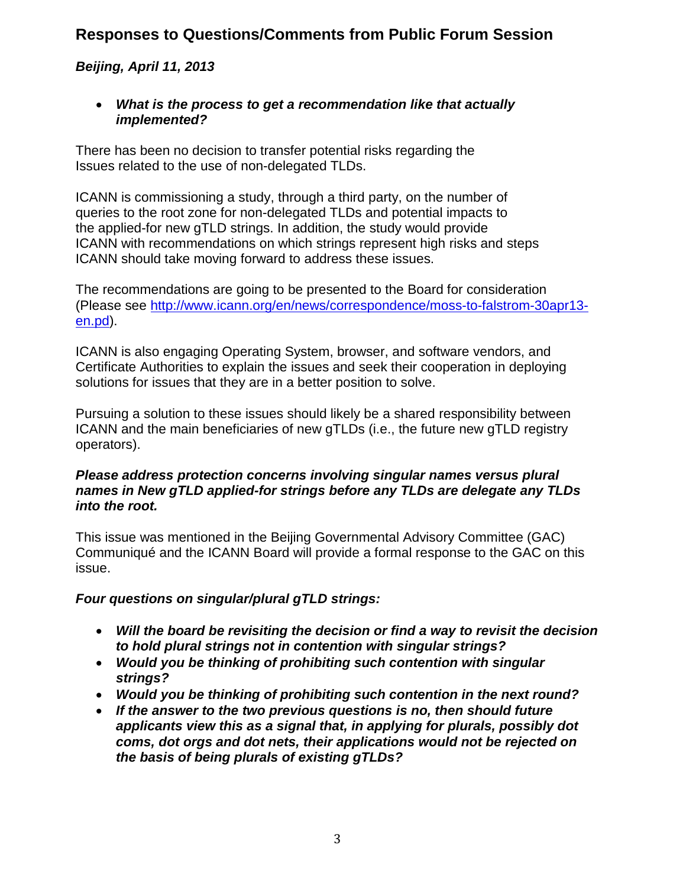## *Beijing, April 11, 2013*

• *What is the process to get a recommendation like that actually implemented?*

There has been no decision to transfer potential risks regarding the Issues related to the use of non-delegated TLDs.

ICANN is commissioning a study, through a third party, on the number of queries to the root zone for non-delegated TLDs and potential impacts to the applied-for new gTLD strings. In addition, the study would provide ICANN with recommendations on which strings represent high risks and steps ICANN should take moving forward to address these issues.

The recommendations are going to be presented to the Board for consideration (Please see [http://www.icann.org/en/news/correspondence/moss-to-falstrom-30apr13](http://www.icann.org/en/news/correspondence/moss-to-falstrom-30apr13-en.pd) [en.pd\)](http://www.icann.org/en/news/correspondence/moss-to-falstrom-30apr13-en.pd).

ICANN is also engaging Operating System, browser, and software vendors, and Certificate Authorities to explain the issues and seek their cooperation in deploying solutions for issues that they are in a better position to solve.

Pursuing a solution to these issues should likely be a shared responsibility between ICANN and the main beneficiaries of new gTLDs (i.e., the future new gTLD registry operators).

### *Please address protection concerns involving singular names versus plural names in New gTLD applied-for strings before any TLDs are delegate any TLDs into the root.*

This issue was mentioned in the Beijing Governmental Advisory Committee (GAC) Communiqué and the ICANN Board will provide a formal response to the GAC on this issue.

### *Four questions on singular/plural gTLD strings:*

- *Will the board be revisiting the decision or find a way to revisit the decision to hold plural strings not in contention with singular strings?*
- *Would you be thinking of prohibiting such contention with singular strings?*
- *Would you be thinking of prohibiting such contention in the next round?*
- *If the answer to the two previous questions is no, then should future applicants view this as a signal that, in applying for plurals, possibly dot coms, dot orgs and dot nets, their applications would not be rejected on the basis of being plurals of existing gTLDs?*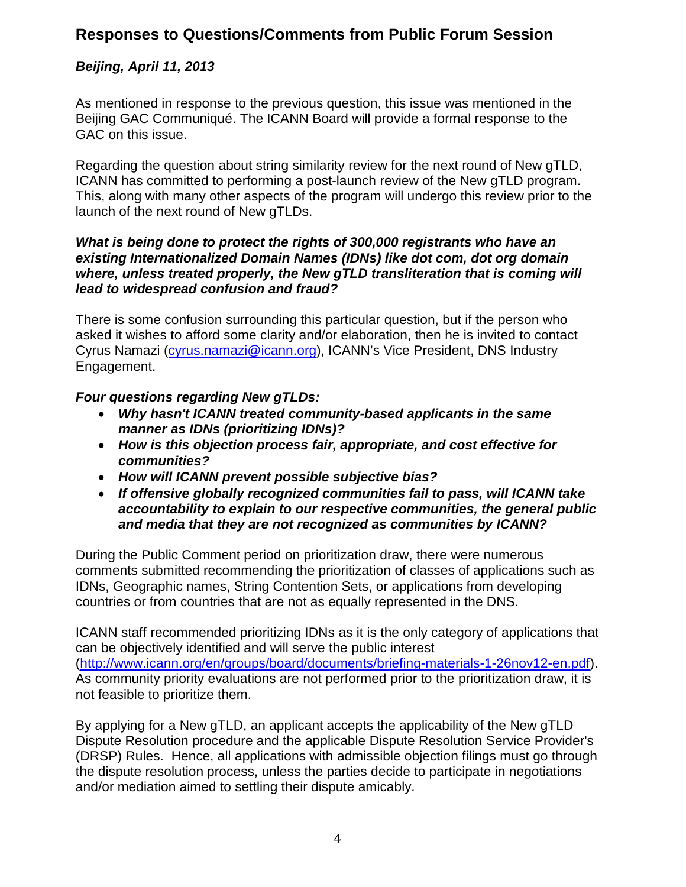## *Beijing, April 11, 2013*

As mentioned in response to the previous question, this issue was mentioned in the Beijing GAC Communiqué. The ICANN Board will provide a formal response to the GAC on this issue.

Regarding the question about string similarity review for the next round of New gTLD, ICANN has committed to performing a post-launch review of the New gTLD program. This, along with many other aspects of the program will undergo this review prior to the launch of the next round of New gTLDs.

#### *What is being done to protect the rights of 300,000 registrants who have an existing Internationalized Domain Names (IDNs) like dot com, dot org domain where, unless treated properly, the New gTLD transliteration that is coming will lead to widespread confusion and fraud?*

There is some confusion surrounding this particular question, but if the person who asked it wishes to afford some clarity and/or elaboration, then he is invited to contact Cyrus Namazi [\(cyrus.namazi@icann.org\)](mailto:cyrus.namazi@icann.org), ICANN's Vice President, DNS Industry Engagement.

### *Four questions regarding New gTLDs:*

- *Why hasn't ICANN treated community-based applicants in the same manner as IDNs (prioritizing IDNs)?*
- *How is this objection process fair, appropriate, and cost effective for communities?*
- *How will ICANN prevent possible subjective bias?*
- *If offensive globally recognized communities fail to pass, will ICANN take accountability to explain to our respective communities, the general public and media that they are not recognized as communities by ICANN?*

During the Public Comment period on prioritization draw, there were numerous comments submitted recommending the prioritization of classes of applications such as IDNs, Geographic names, String Contention Sets, or applications from developing countries or from countries that are not as equally represented in the DNS.

ICANN staff recommended prioritizing IDNs as it is the only category of applications that can be objectively identified and will serve the public interest [\(http://www.icann.org/en/groups/board/documents/briefing-materials-1-26nov12-en.pdf\)](http://www.icann.org/en/groups/board/documents/briefing-materials-1-26nov12-en.pdf). As community priority evaluations are not performed prior to the prioritization draw, it is not feasible to prioritize them.

By applying for a New gTLD, an applicant accepts the applicability of the New gTLD Dispute Resolution procedure and the applicable Dispute Resolution Service Provider's (DRSP) Rules. Hence, all applications with admissible objection filings must go through the dispute resolution process, unless the parties decide to participate in negotiations and/or mediation aimed to settling their dispute amicably.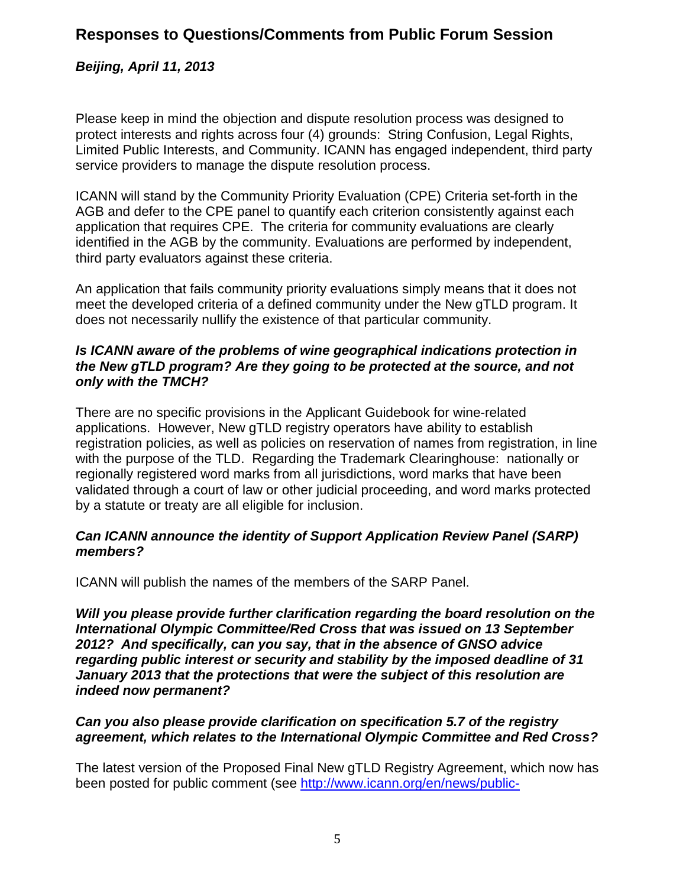### *Beijing, April 11, 2013*

Please keep in mind the objection and dispute resolution process was designed to protect interests and rights across four (4) grounds: String Confusion, Legal Rights, Limited Public Interests, and Community. ICANN has engaged independent, third party service providers to manage the dispute resolution process.

ICANN will stand by the Community Priority Evaluation (CPE) Criteria set-forth in the AGB and defer to the CPE panel to quantify each criterion consistently against each application that requires CPE. The criteria for community evaluations are clearly identified in the AGB by the community. Evaluations are performed by independent, third party evaluators against these criteria.

An application that fails community priority evaluations simply means that it does not meet the developed criteria of a defined community under the New gTLD program. It does not necessarily nullify the existence of that particular community.

#### *Is ICANN aware of the problems of wine geographical indications protection in the New gTLD program? Are they going to be protected at the source, and not only with the TMCH?*

There are no specific provisions in the Applicant Guidebook for wine-related applications. However, New gTLD registry operators have ability to establish registration policies, as well as policies on reservation of names from registration, in line with the purpose of the TLD. Regarding the Trademark Clearinghouse: nationally or regionally registered word marks from all jurisdictions, word marks that have been validated through a court of law or other judicial proceeding, and word marks protected by a statute or treaty are all eligible for inclusion.

#### *Can ICANN announce the identity of Support Application Review Panel (SARP) members?*

ICANN will publish the names of the members of the SARP Panel.

*Will you please provide further clarification regarding the board resolution on the International Olympic Committee/Red Cross that was issued on 13 September 2012? And specifically, can you say, that in the absence of GNSO advice regarding public interest or security and stability by the imposed deadline of 31 January 2013 that the protections that were the subject of this resolution are indeed now permanent?*

#### *Can you also please provide clarification on specification 5.7 of the registry agreement, which relates to the International Olympic Committee and Red Cross?*

The latest version of the Proposed Final New gTLD Registry Agreement, which now has been posted for public comment (see [http://www.icann.org/en/news/public-](http://www.icann.org/en/news/public-comment/base-agreement-29apr13-en.htm)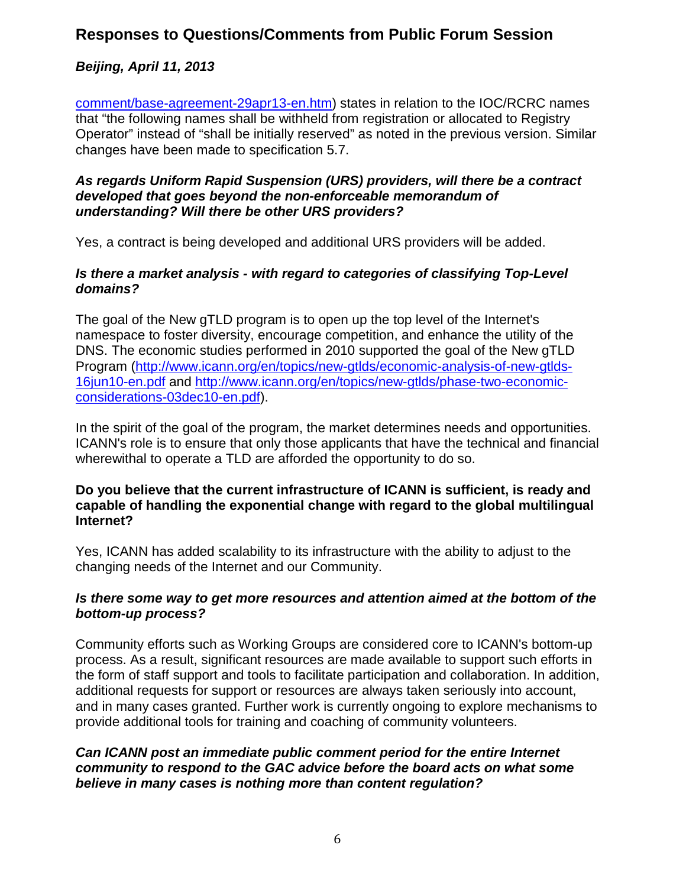## *Beijing, April 11, 2013*

[comment/base-agreement-29apr13-en.htm\)](http://www.icann.org/en/news/public-comment/base-agreement-29apr13-en.htm) states in relation to the IOC/RCRC names that "the following names shall be withheld from registration or allocated to Registry Operator" instead of "shall be initially reserved" as noted in the previous version. Similar changes have been made to specification 5.7.

#### *As regards Uniform Rapid Suspension (URS) providers, will there be a contract developed that goes beyond the non-enforceable memorandum of understanding? Will there be other URS providers?*

Yes, a contract is being developed and additional URS providers will be added.

#### *Is there a market analysis - with regard to categories of classifying Top-Level domains?*

The goal of the New gTLD program is to open up the top level of the Internet's namespace to foster diversity, encourage competition, and enhance the utility of the DNS. The economic studies performed in 2010 supported the goal of the New gTLD Program [\(http://www.icann.org/en/topics/new-gtlds/economic-analysis-of-new-gtlds-](http://www.icann.org/en/topics/new-gtlds/economic-analysis-of-new-gtlds-16jun10-en.pdf)[16jun10-en.pdf](http://www.icann.org/en/topics/new-gtlds/economic-analysis-of-new-gtlds-16jun10-en.pdf) and [http://www.icann.org/en/topics/new-gtlds/phase-two-economic](http://www.icann.org/en/topics/new-gtlds/phase-two-economic-considerations-03dec10-en.pdf)[considerations-03dec10-en.pdf\)](http://www.icann.org/en/topics/new-gtlds/phase-two-economic-considerations-03dec10-en.pdf).

In the spirit of the goal of the program, the market determines needs and opportunities. ICANN's role is to ensure that only those applicants that have the technical and financial wherewithal to operate a TLD are afforded the opportunity to do so.

#### **Do you believe that the current infrastructure of ICANN is sufficient, is ready and capable of handling the exponential change with regard to the global multilingual Internet?**

Yes, ICANN has added scalability to its infrastructure with the ability to adjust to the changing needs of the Internet and our Community.

### *Is there some way to get more resources and attention aimed at the bottom of the bottom-up process?*

Community efforts such as Working Groups are considered core to ICANN's bottom-up process. As a result, significant resources are made available to support such efforts in the form of staff support and tools to facilitate participation and collaboration. In addition, additional requests for support or resources are always taken seriously into account, and in many cases granted. Further work is currently ongoing to explore mechanisms to provide additional tools for training and coaching of community volunteers.

#### *Can ICANN post an immediate public comment period for the entire Internet community to respond to the GAC advice before the board acts on what some believe in many cases is nothing more than content regulation?*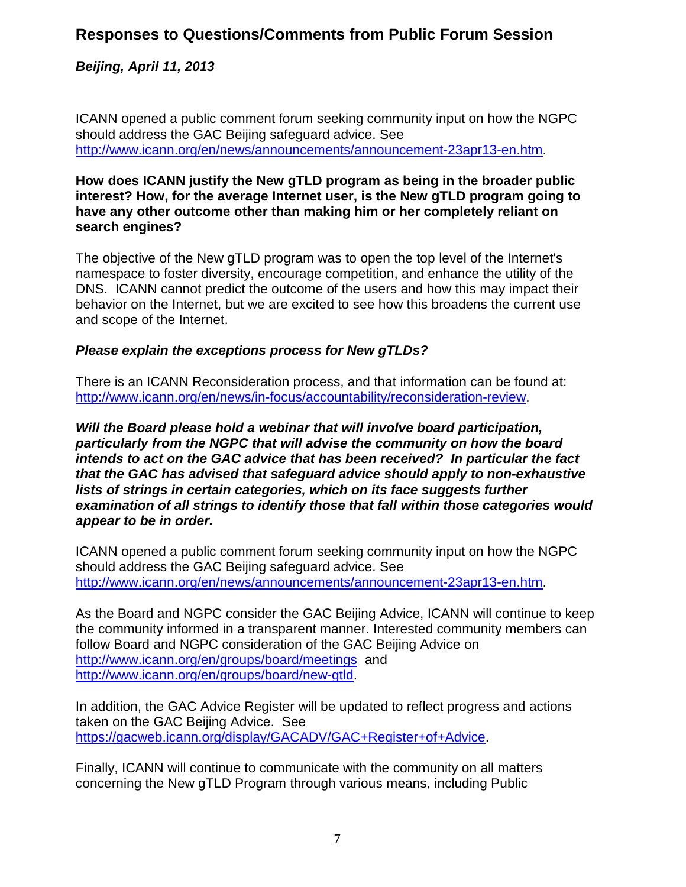*Beijing, April 11, 2013*

ICANN opened a public comment forum seeking community input on how the NGPC should address the GAC Beijing safeguard advice. See [http://www.icann.org/en/news/announcements/announcement-23apr13-en.htm.](http://www.icann.org/en/news/announcements/announcement-23apr13-en.htm)

#### **How does ICANN justify the New gTLD program as being in the broader public interest? How, for the average Internet user, is the New gTLD program going to have any other outcome other than making him or her completely reliant on search engines?**

The objective of the New gTLD program was to open the top level of the Internet's namespace to foster diversity, encourage competition, and enhance the utility of the DNS. ICANN cannot predict the outcome of the users and how this may impact their behavior on the Internet, but we are excited to see how this broadens the current use and scope of the Internet.

### *Please explain the exceptions process for New gTLDs?*

There is an ICANN Reconsideration process, and that information can be found at: [http://www.icann.org/en/news/in-focus/accountability/reconsideration-review.](http://www.icann.org/en/news/in-focus/accountability/reconsideration-review)

*Will the Board please hold a webinar that will involve board participation, particularly from the NGPC that will advise the community on how the board intends to act on the GAC advice that has been received? In particular the fact that the GAC has advised that safeguard advice should apply to non-exhaustive lists of strings in certain categories, which on its face suggests further examination of all strings to identify those that fall within those categories would appear to be in order.*

ICANN opened a public comment forum seeking community input on how the NGPC should address the GAC Beijing safeguard advice. See [http://www.icann.org/en/news/announcements/announcement-23apr13-en.htm.](http://www.icann.org/en/news/announcements/announcement-23apr13-en.htm)

As the Board and NGPC consider the GAC Beijing Advice, ICANN will continue to keep the community informed in a transparent manner. Interested community members can follow Board and NGPC consideration of the GAC Beijing Advice on <http://www.icann.org/en/groups/board/meetings>and [http://www.icann.org/en/groups/board/new-gtld.](http://www.icann.org/en/groups/board/new-gtld)

In addition, the GAC Advice Register will be updated to reflect progress and actions taken on the GAC Beijing Advice. See [https://gacweb.icann.org/display/GACADV/GAC+Register+of+Advice.](https://gacweb.icann.org/display/GACADV/GAC+Register+of+Advice)

Finally, ICANN will continue to communicate with the community on all matters concerning the New gTLD Program through various means, including Public